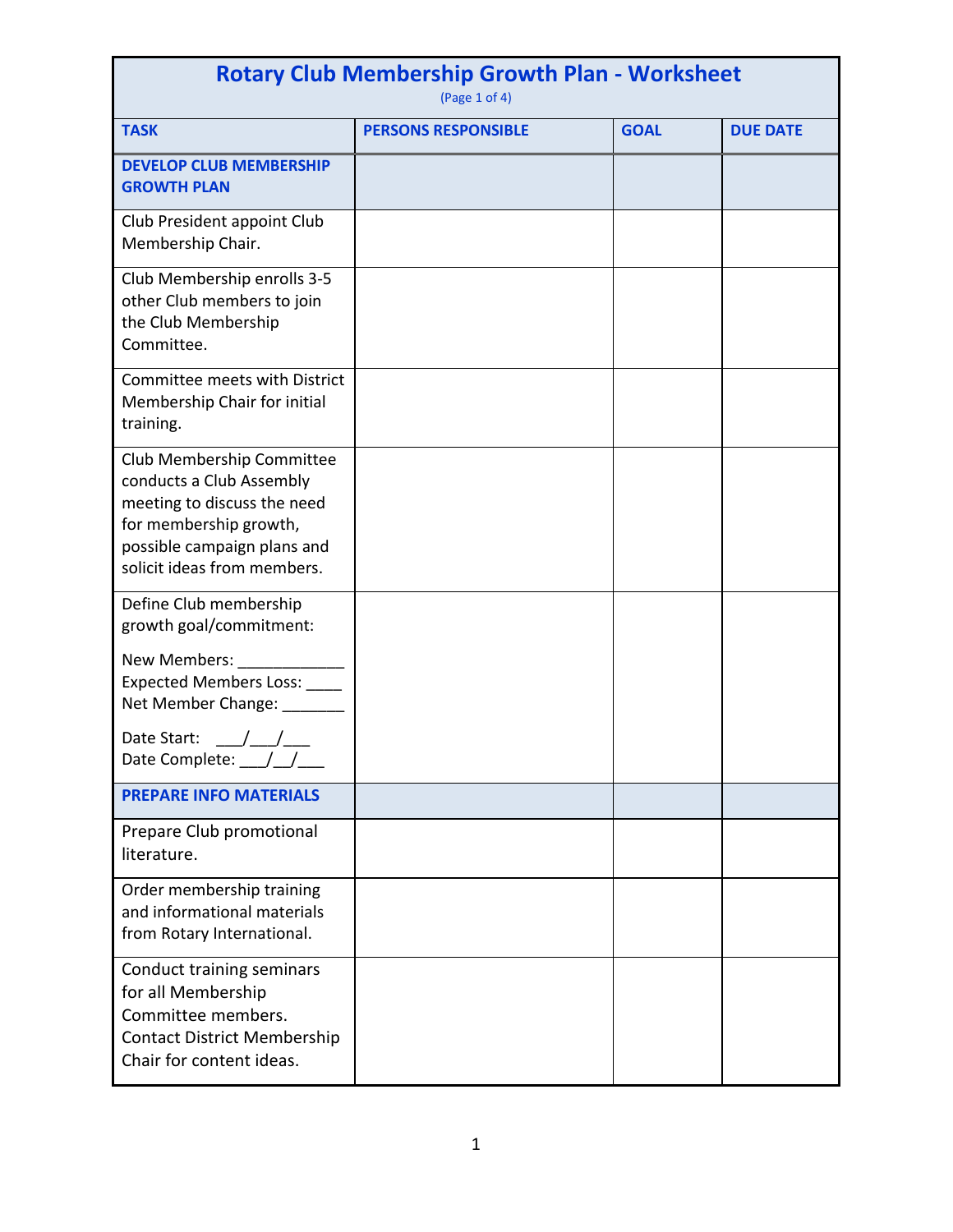| <b>Rotary Club Membership Growth Plan - Worksheet</b><br>(Page 1 of 4)                                                                                                       |                            |             |                 |  |  |
|------------------------------------------------------------------------------------------------------------------------------------------------------------------------------|----------------------------|-------------|-----------------|--|--|
| <b>TASK</b>                                                                                                                                                                  | <b>PERSONS RESPONSIBLE</b> | <b>GOAL</b> | <b>DUE DATE</b> |  |  |
| <b>DEVELOP CLUB MEMBERSHIP</b><br><b>GROWTH PLAN</b>                                                                                                                         |                            |             |                 |  |  |
| Club President appoint Club<br>Membership Chair.                                                                                                                             |                            |             |                 |  |  |
| Club Membership enrolls 3-5<br>other Club members to join<br>the Club Membership<br>Committee.                                                                               |                            |             |                 |  |  |
| Committee meets with District<br>Membership Chair for initial<br>training.                                                                                                   |                            |             |                 |  |  |
| Club Membership Committee<br>conducts a Club Assembly<br>meeting to discuss the need<br>for membership growth,<br>possible campaign plans and<br>solicit ideas from members. |                            |             |                 |  |  |
| Define Club membership<br>growth goal/commitment:                                                                                                                            |                            |             |                 |  |  |
| New Members:<br>Expected Members Loss: ____<br>Net Member Change: ______                                                                                                     |                            |             |                 |  |  |
| Date Start: __/__/___<br>Date Complete: 11                                                                                                                                   |                            |             |                 |  |  |
| <b>PREPARE INFO MATERIALS</b>                                                                                                                                                |                            |             |                 |  |  |
| Prepare Club promotional<br>literature.                                                                                                                                      |                            |             |                 |  |  |
| Order membership training<br>and informational materials<br>from Rotary International.                                                                                       |                            |             |                 |  |  |
| Conduct training seminars<br>for all Membership<br>Committee members.<br><b>Contact District Membership</b><br>Chair for content ideas.                                      |                            |             |                 |  |  |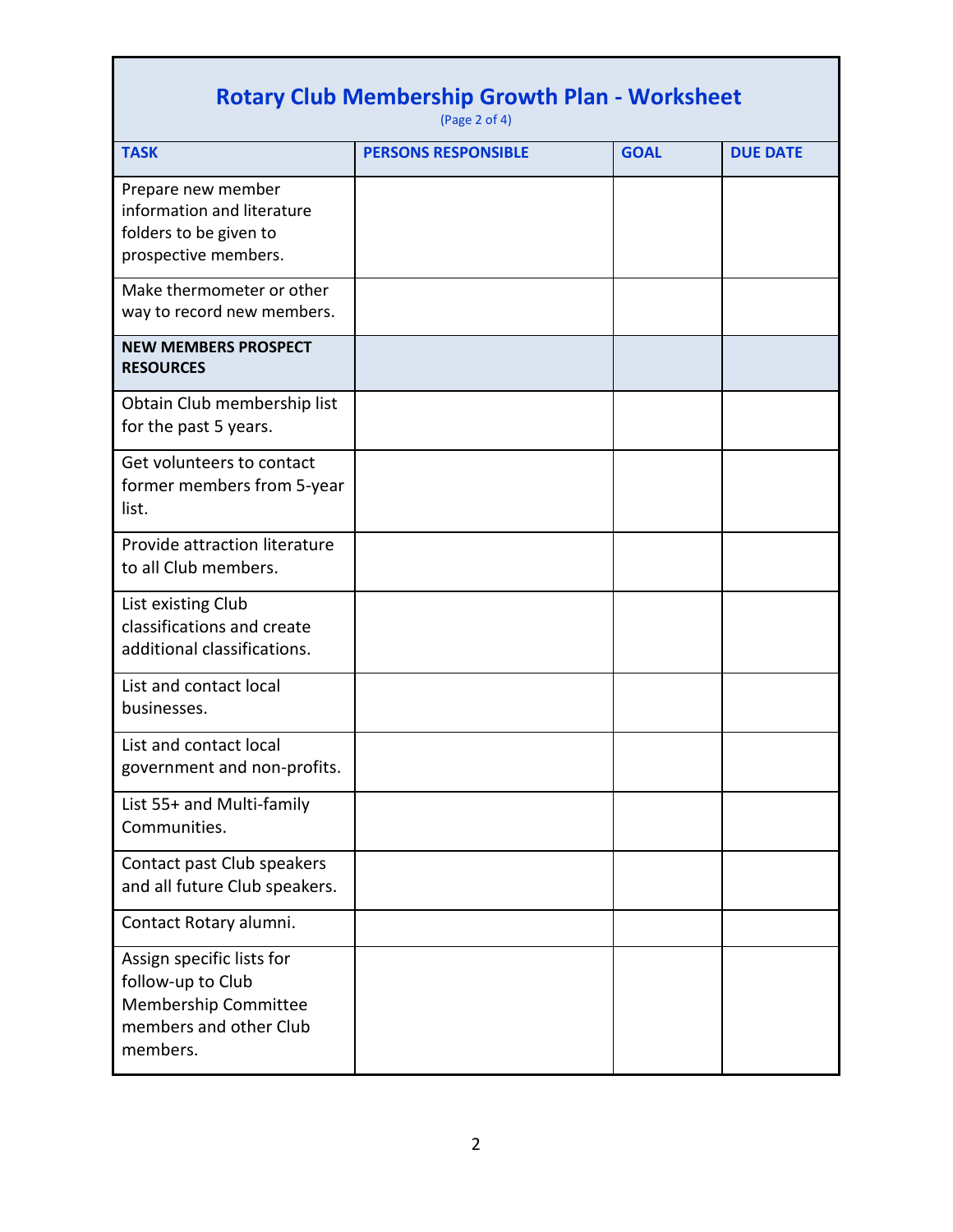| <b>Rotary Club Membership Growth Plan - Worksheet</b><br>(Page 2 of 4)                                       |                            |             |                 |  |  |
|--------------------------------------------------------------------------------------------------------------|----------------------------|-------------|-----------------|--|--|
| <b>TASK</b>                                                                                                  | <b>PERSONS RESPONSIBLE</b> | <b>GOAL</b> | <b>DUE DATE</b> |  |  |
| Prepare new member<br>information and literature<br>folders to be given to<br>prospective members.           |                            |             |                 |  |  |
| Make thermometer or other<br>way to record new members.                                                      |                            |             |                 |  |  |
| <b>NEW MEMBERS PROSPECT</b><br><b>RESOURCES</b>                                                              |                            |             |                 |  |  |
| Obtain Club membership list<br>for the past 5 years.                                                         |                            |             |                 |  |  |
| Get volunteers to contact<br>former members from 5-year<br>list.                                             |                            |             |                 |  |  |
| Provide attraction literature<br>to all Club members.                                                        |                            |             |                 |  |  |
| List existing Club<br>classifications and create<br>additional classifications.                              |                            |             |                 |  |  |
| List and contact local<br>businesses.                                                                        |                            |             |                 |  |  |
| List and contact local<br>government and non-profits.                                                        |                            |             |                 |  |  |
| List 55+ and Multi-family<br>Communities.                                                                    |                            |             |                 |  |  |
| Contact past Club speakers<br>and all future Club speakers.                                                  |                            |             |                 |  |  |
| Contact Rotary alumni.                                                                                       |                            |             |                 |  |  |
| Assign specific lists for<br>follow-up to Club<br>Membership Committee<br>members and other Club<br>members. |                            |             |                 |  |  |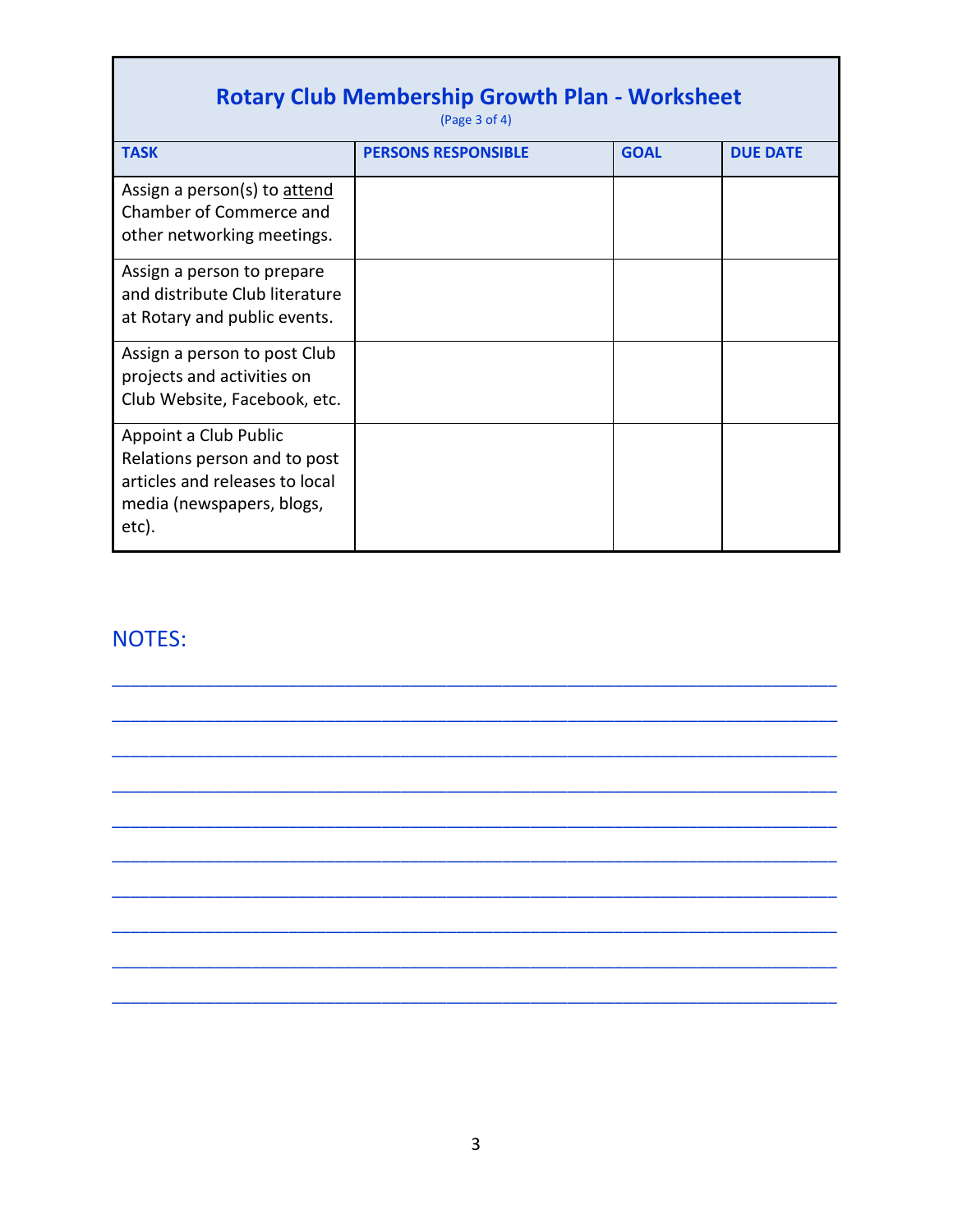| <b>Rotary Club Membership Growth Plan - Worksheet</b><br>(Page $3$ of $4$ )                                                   |                            |             |                 |  |  |
|-------------------------------------------------------------------------------------------------------------------------------|----------------------------|-------------|-----------------|--|--|
| <b>TASK</b>                                                                                                                   | <b>PERSONS RESPONSIBLE</b> | <b>GOAL</b> | <b>DUE DATE</b> |  |  |
| Assign a person(s) to attend<br>Chamber of Commerce and<br>other networking meetings.                                         |                            |             |                 |  |  |
| Assign a person to prepare<br>and distribute Club literature<br>at Rotary and public events.                                  |                            |             |                 |  |  |
| Assign a person to post Club<br>projects and activities on<br>Club Website, Facebook, etc.                                    |                            |             |                 |  |  |
| Appoint a Club Public<br>Relations person and to post<br>articles and releases to local<br>media (newspapers, blogs,<br>etc). |                            |             |                 |  |  |

## NOTES:

Е